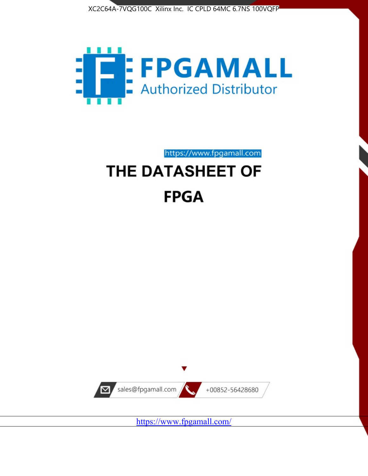



https://www.fpgamall.com THE DATASHEET OF

# **FPGA**



<https://www.fpgamall.com/>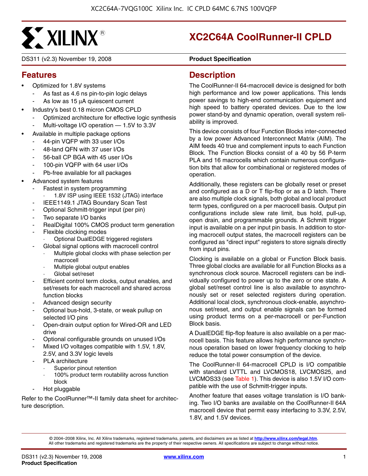

DS311 (v2.3) November 19, 2008 **0 0 Product Specification**

# **XC2C64A CoolRunner-II CPLD**

# **Features**

- Optimized for 1.8V systems
	- As fast as 4.6 ns pin-to-pin logic delays
	- As low as 15 μA quiescent current
- Industry's best 0.18 micron CMOS CPLD
	- Optimized architecture for effective logic synthesis
	- Multi-voltage I/O operation 1.5V to 3.3V
- Available in multiple package options
	- 44-pin VQFP with 33 user I/Os
	- 48-land QFN with 37 user I/Os
	- 56-ball CP BGA with 45 user I/Os
	- 100-pin VQFP with 64 user I/Os
	- Pb-free available for all packages
- Advanced system features
	- Fastest in system programming
		- 1.8V ISP using IEEE 1532 (JTAG) interface
	- IEEE1149.1 JTAG Boundary Scan Test
	- Optional Schmitt-trigger input (per pin)
	- Two separate I/O banks
	- RealDigital 100% CMOS product term generation
	- Flexible clocking modes
		- · Optional DualEDGE triggered registers
		- Global signal options with macrocell control
		- Multiple global clocks with phase selection per macrocell
		- Multiple global output enables
		- Global set/reset
	- Efficient control term clocks, output enables, and set/resets for each macrocell and shared across function blocks
	- Advanced design security
	- Optional bus-hold, 3-state, or weak pullup on selected I/O pins
	- Open-drain output option for Wired-OR and LED drive
	- Optional configurable grounds on unused I/Os
	- Mixed I/O voltages compatible with 1.5V, 1.8V, 2.5V, and 3.3V logic levels
	- PLA architecture
		- Superior pinout retention
		- 100% product term routability across function block
	- Hot pluggable

Refer to the CoolRunner™-II family data sheet for architecture description.

#### **Description**

The CoolRunner-II 64-macrocell device is designed for both high performance and low power applications. This lends power savings to high-end communication equipment and high speed to battery operated devices. Due to the low power stand-by and dynamic operation, overall system reliability is improved.

This device consists of four Function Blocks inter-connected by a low power Advanced Interconnect Matrix (AIM). The AIM feeds 40 true and complement inputs to each Function Block. The Function Blocks consist of a 40 by 56 P-term PLA and 16 macrocells which contain numerous configuration bits that allow for combinational or registered modes of operation.

Additionally, these registers can be globally reset or preset and configured as a D or T flip-flop or as a D latch. There are also multiple clock signals, both global and local product term types, configured on a per macrocell basis. Output pin configurations include slew rate limit, bus hold, pull-up, open drain, and programmable grounds. A Schmitt trigger input is available on a per input pin basis. In addition to storing macrocell output states, the macrocell registers can be configured as "direct input" registers to store signals directly from input pins.

Clocking is available on a global or Function Block basis. Three global clocks are available for all Function Blocks as a synchronous clock source. Macrocell registers can be individually configured to power up to the zero or one state. A global set/reset control line is also available to asynchronously set or reset selected registers during operation. Additional local clock, synchronous clock-enable, asynchronous set/reset, and output enable signals can be formed using product terms on a per-macrocell or per-Function Block basis.

A DualEDGE flip-flop feature is also available on a per macrocell basis. This feature allows high performance synchronous operation based on lower frequency clocking to help reduce the total power consumption of the device.

The CoolRunner-II 64-macrocell CPLD is I/O compatible with standard LVTTL and LVCMOS18, LVCMOS25, and LVCMOS33 (see Table 1). This device is also 1.5V I/O compatible with the use of Schmitt-trigger inputs.

Another feature that eases voltage translation is I/O banking. Two I/O banks are available on the CoolRunner-II 64A macrocell device that permit easy interfacing to 3.3V, 2.5V, 1.8V, and 1.5V devices.

© 2004–2008 Xilinx, Inc. All Xilinx trademarks, registered trademarks, patents, and disclaimers are as listed at **<http://www.xilinx.com/legal.htm>**. All other trademarks and registered trademarks are the property of their respective owners. All specifications are subject to change without notice.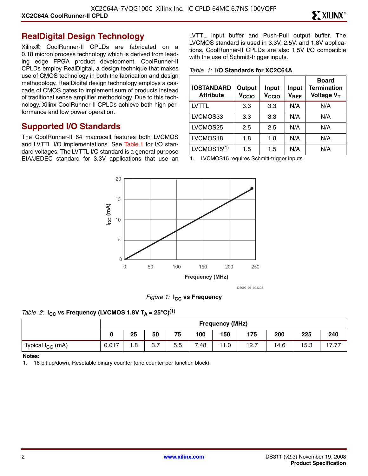#### **RealDigital Design Technology**

Xilinx® CoolRunner-II CPLDs are fabricated on a 0.18 micron process technology which is derived from leading edge FPGA product development. CoolRunner-II CPLDs employ RealDigital, a design technique that makes use of CMOS technology in both the fabrication and design methodology. RealDigital design technology employs a cascade of CMOS gates to implement sum of products instead of traditional sense amplifier methodology. Due to this technology, Xilinx CoolRunner-II CPLDs achieve both high performance and low power operation.

#### **Supported I/O Standards**

The CoolRunner-II 64 macrocell features both LVCMOS and LVTTL I/O implementations. See Table 1 for I/O standard voltages. The LVTTL I/O standard is a general purpose EIA/JEDEC standard for 3.3V applications that use an LVTTL input buffer and Push-Pull output buffer. The LVCMOS standard is used in 3.3V, 2.5V, and 1.8V applications. CoolRunner-II CPLDs are also 1.5V I/O compatible with the use of Schmitt-trigger inputs.

*Table 1:* **I/O Standards for XC2C64A**

| <b>IOSTANDARD</b><br><b>Attribute</b> | Output<br>V <sub>CCIO</sub> | Input<br>V <sub>CCIO</sub> | Input<br>$V_{REF}$ | <b>Board</b><br><b>Termination</b><br>Voltage V <sub>T</sub> |
|---------------------------------------|-----------------------------|----------------------------|--------------------|--------------------------------------------------------------|
| LVTTL                                 | 3.3                         | 3.3                        | N/A                | N/A                                                          |
| LVCMOS33                              | 3.3                         | 3.3                        | N/A                | N/A                                                          |
| LVCMOS25                              | 2.5                         | 2.5                        | N/A                | N/A                                                          |
| LVCMOS18                              | 1.8                         | 1.8                        | N/A                | N/A                                                          |
| LVCMOS15 <sup>(1)</sup>               | 1.5                         | 1.5                        | N/A                | N/A                                                          |

1. LVCMOS15 requires Schmitt-trigger inputs.



DS092\_01\_092302

*Figure 1:* **I<sub>CC</sub>** vs Frequency

#### *Table 2:*  $I_{CC}$  vs Frequency (LVCMOS 1.8V T<sub>A</sub> = 25°C)<sup>(1)</sup>

|                              |       | <b>Frequency (MHz)</b> |     |     |      |     |      |      |      |           |
|------------------------------|-------|------------------------|-----|-----|------|-----|------|------|------|-----------|
|                              |       | 25                     | 50  | 75  | 100  | 150 | 175  | 200  | 225  | 240       |
| Typical I <sub>CC</sub> (mA) | 0.017 | 1.8                    | 3.7 | 5.5 | 7.48 | 1.0 | 12.7 | 14.6 | 15.3 | 1777<br>. |

#### **Notes:**

1. 16-bit up/down, Resetable binary counter (one counter per function block).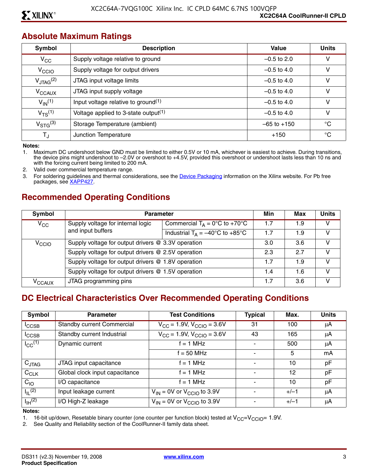#### **Absolute Maximum Ratings**

| Symbol                  | <b>Description</b>                               | Value           | <b>Units</b> |
|-------------------------|--------------------------------------------------|-----------------|--------------|
| $V_{\rm CC}$            | Supply voltage relative to ground                | $-0.5$ to 2.0   | v            |
| V <sub>CCIO</sub>       | Supply voltage for output drivers                | $-0.5$ to 4.0   | ۷            |
| $V_{\text{JTAG}}^{(2)}$ | JTAG input voltage limits                        | $-0.5$ to 4.0   | ۷            |
| V <sub>CCAUX</sub>      | JTAG input supply voltage                        | $-0.5$ to 4.0   | v            |
| $V_{\text{IN}}^{(1)}$   | Input voltage relative to ground <sup>(1)</sup>  | $-0.5$ to 4.0   | v            |
| $V_{TS}^{(1)}$          | Voltage applied to 3-state output <sup>(1)</sup> | $-0.5$ to 4.0   | v            |
| $V_{\rm STG}^{(3)}$     | Storage Temperature (ambient)                    | $-65$ to $+150$ | °C           |
| TJ                      | Junction Temperature                             | $+150$          | °C           |

**Notes:** 

1. Maximum DC undershoot below GND must be limited to either 0.5V or 10 mA, whichever is easiest to achieve. During transitions, the device pins might undershoot to –2.0V or overshoot to +4.5V, provided this overshoot or undershoot lasts less than 10 ns and with the forcing current being limited to 200 mA.

2. Valid over commercial temperature range.

3. For soldering guidelines and thermal considerations, see the [Device Packaging](http://www.xilinx.com/support/documentation/package_specifications.htm) information on the Xilinx website. For Pb free packages, see [XAPP427](http://www.xilinx.com/support/documentation/application_notes/xapp427.pdf).

### **Recommended Operating Conditions**

| Symbol             | <b>Parameter</b>                                   |                                                   |     | Max | <b>Units</b> |
|--------------------|----------------------------------------------------|---------------------------------------------------|-----|-----|--------------|
| $V_{\rm CC}$       | Supply voltage for internal logic                  | Commercial $T_A = 0$ °C to +70°C                  | 1.7 | 1.9 | v            |
|                    | and input buffers                                  | Industrial $T_A = -40^{\circ}C$ to $+85^{\circ}C$ | 1.7 | 1.9 | v            |
| V <sub>CCIO</sub>  | Supply voltage for output drivers @ 3.3V operation |                                                   | 3.0 | 3.6 | v            |
|                    | Supply voltage for output drivers @ 2.5V operation |                                                   | 2.3 | 27  | V            |
|                    | Supply voltage for output drivers @ 1.8V operation |                                                   | 1.7 | 1.9 | V            |
|                    | Supply voltage for output drivers @ 1.5V operation |                                                   | 1.4 | 1.6 | v            |
| V <sub>CCAUX</sub> | JTAG programming pins                              |                                                   | 1.7 | 3.6 | v            |

#### **DC Electrical Characteristics Over Recommended Operating Conditions**

| Symbol                           | <b>Parameter</b>                  | <b>Test Conditions</b>                                      | <b>Typical</b> | Max.   | <b>Units</b> |
|----------------------------------|-----------------------------------|-------------------------------------------------------------|----------------|--------|--------------|
| $I_{\text{CCSB}}$                | <b>Standby current Commercial</b> | $V_{\text{CC}} = 1.9V$ , $V_{\text{CCIO}} = 3.6V$           | 31             | 100    | μA           |
| $I_{\text{CCSB}}$                | Standby current Industrial        | $\overline{V_{\text{CC}}}$ = 1.9V, $V_{\text{CCIO}}$ = 3.6V | 43             | 165    | μA           |
| $I_{CC}$ <sup>(1)</sup>          | Dynamic current                   | $f = 1$ MHz                                                 |                | 500    | μA           |
|                                  |                                   | $f = 50$ MHz                                                |                | 5      | mA           |
| $C_{JTAG}$                       | JTAG input capacitance            | $f = 1$ MHz                                                 |                | 10     | pF           |
| $C_{CLK}$                        | Global clock input capacitance    | $f = 1$ MHz                                                 |                | 12     | pF           |
| $C_{10}$                         | I/O capacitance                   | $f = 1$ MHz                                                 |                | 10     | pF           |
| $I_{\parallel L}$ <sup>(2)</sup> | Input leakage current             | $V_{IN}$ = 0V or $V_{CCIO}$ to 3.9V                         |                | $+/-1$ | μA           |
| $I_{\text{IH}}^{(2)}$            | I/O High-Z leakage                | $V_{IN}$ = 0V or $V_{CCIO}$ to 3.9V                         |                | $+/-1$ | μA           |

**Notes:** 

1. 16-bit up/down, Resetable binary counter (one counter per function block) tested at  $V_{CC}=V_{CCIO}= 1.9V$ .<br>2. See Quality and Reliability section of the CoolRunner-II family data sheet.

See Quality and Reliability section of the CoolRunner-II family data sheet.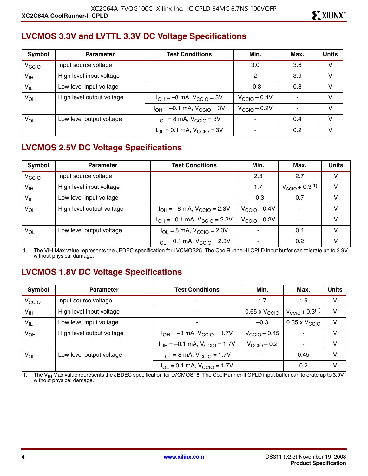#### **LVCMOS 3.3V and LVTTL 3.3V DC Voltage Specifications**

| Symbol            | <b>Parameter</b>          | <b>Test Conditions</b>                                    | Min.                     | Max. | <b>Units</b> |
|-------------------|---------------------------|-----------------------------------------------------------|--------------------------|------|--------------|
| V <sub>CCIO</sub> | Input source voltage      |                                                           | 3.0                      | 3.6  | v            |
| V <sub>IH</sub>   | High level input voltage  |                                                           | 2                        | 3.9  | V            |
| $V_{IL}$          | Low level input voltage   |                                                           | $-0.3$                   | 0.8  | v            |
| $V_{OH}$          | High level output voltage | $I_{OH} = -8$ mA, $V_{CCIO} = 3V$                         | $V_{\text{CCIO}} - 0.4V$ |      | $\vee$       |
|                   |                           | $I_{OH} = -0.1$ mA, $V_{CGIO} = 3V$                       | $V_{\text{CCIO}} - 0.2V$ |      | v            |
| VOL               | Low level output voltage  | $I_{\text{OI}} = 8 \text{ mA}$ , $V_{\text{CCIO}} = 3V$   |                          | 0.4  | $\vee$       |
|                   |                           | $I_{\text{OI}} = 0.1 \text{ mA}$ , $V_{\text{CCIO}} = 3V$ |                          | 0.2  | V            |

# **LVCMOS 2.5V DC Voltage Specifications**

| Symbol            | <b>Parameter</b>          | <b>Test Conditions</b>                                               | Min.                     | Max.                          | <b>Units</b> |
|-------------------|---------------------------|----------------------------------------------------------------------|--------------------------|-------------------------------|--------------|
| V <sub>CCIO</sub> | Input source voltage      |                                                                      | 2.3                      | 2.7                           | V            |
| $V_{\text{IH}}$   | High level input voltage  |                                                                      | 1.7                      | $V_{\text{CCIO}} + 0.3^{(1)}$ | v            |
| $V_{IL}$          | Low level input voltage   |                                                                      | $-0.3$                   | 0.7                           | V            |
| $V_{OH}$          | High level output voltage | $I_{OH} = -8$ mA, $V_{CGIO} = 2.3V$                                  | $V_{\text{CCIO}} - 0.4V$ |                               | v            |
|                   |                           | $I_{OH} = -0.1$ mA, $V_{CClO} = 2.3V$                                | $V_{\text{CCIO}} - 0.2V$ |                               | v            |
| V <sub>OL</sub>   | Low level output voltage  | $I_{\text{OI}} = 8 \text{ mA}$ , $V_{\text{CCIO}} = 2.3 \text{ V}$   |                          | 0.4                           | v            |
|                   |                           | $I_{\text{OI}} = 0.1 \text{ mA}$ , $V_{\text{CCIO}} = 2.3 \text{ V}$ |                          | 0.2                           |              |

1. The VIH Max value represents the JEDEC specification for LVCMOS25. The CoolRunner-II CPLD input buffer can tolerate up to 3.9V without physical damage.

#### **LVCMOS 1.8V DC Voltage Specifications**

| Symbol            | <b>Parameter</b>          | <b>Test Conditions</b>                                               | Min.                      | Max.                          | <b>Units</b> |
|-------------------|---------------------------|----------------------------------------------------------------------|---------------------------|-------------------------------|--------------|
| V <sub>CCIO</sub> | Input source voltage      | ۰                                                                    | 1.7                       | 1.9                           | V            |
| $V_{\text{IH}}$   | High level input voltage  |                                                                      | 0.65 x $\rm V_{\rm CClO}$ | $V_{\text{CCIO}} + 0.3^{(1)}$ | V            |
| $V_{IL}$          | Low level input voltage   | ٠                                                                    | $-0.3$                    | $0.35 \times V_{\text{CCIO}}$ | $\vee$       |
| $V_{OH}$          | High level output voltage | $I_{OH} = -8$ mA, $V_{CCIO} = 1.7V$                                  | $V_{\rm CClO}$ – 0.45     |                               | V            |
|                   |                           | $I_{OH} = -0.1$ mA, $V_{CClO} = 1.7V$                                | $V_{\text{CCIO}} - 0.2$   |                               | V            |
| $V_{OL}$          | Low level output voltage  | $I_{\text{OI}} = 8 \text{ mA}$ , $V_{\text{CCIO}} = 1.7 \text{ V}$   |                           | 0.45                          | V            |
|                   |                           | $I_{\text{OI}} = 0.1 \text{ mA}$ , $V_{\text{CCIO}} = 1.7 \text{ V}$ |                           | 0.2                           | v            |

1. The V<sub>IH</sub> Max value represents the JEDEC specification for LVCMOS18. The CoolRunner-II CPLD input buffer can tolerate up to 3.9V<br>without physical damage.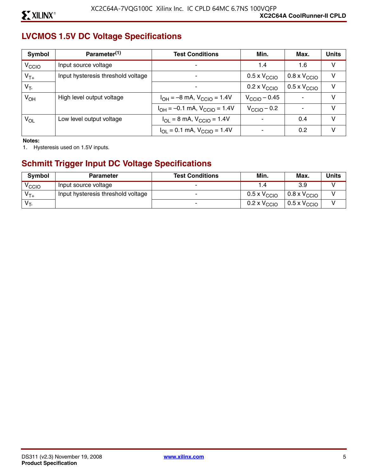# **LVCMOS 1.5V DC Voltage Specifications**

| Symbol            | Parameter <sup>(1)</sup>           | <b>Test Conditions</b>                                               | Min.                         | Max.                         | <b>Units</b> |
|-------------------|------------------------------------|----------------------------------------------------------------------|------------------------------|------------------------------|--------------|
| V <sub>CCIO</sub> | Input source voltage               |                                                                      | 1.4                          | 1.6                          | V            |
| $V_{T+}$          | Input hysteresis threshold voltage |                                                                      | $0.5 \times V_{\text{CCIO}}$ | $0.8 \times V_{\text{CCIO}}$ | v            |
| $V_T$             |                                    |                                                                      | $0.2 \times V_{\text{CCIO}}$ | $0.5 \times V_{\text{CCIO}}$ | V            |
| $V_{OH}$          | High level output voltage          | $I_{OH} = -8$ mA, $V_{CCIO} = 1.4V$                                  | $V_{\text{CCIO}} - 0.45$     |                              | V            |
|                   |                                    | $I_{OH} = -0.1$ mA, $V_{CCIO} = 1.4V$                                | $V_{\text{CCIO}} - 0.2$      | $\overline{\phantom{a}}$     | V            |
| $V_{OL}$          | Low level output voltage           | $I_{OL} = 8$ mA, $V_{CCIO} = 1.4V$                                   |                              | 0.4                          | V            |
|                   |                                    | $I_{\text{OI}} = 0.1 \text{ mA}$ , $V_{\text{CCIO}} = 1.4 \text{ V}$ |                              | 0.2                          | V            |

**Notes:** 

1. Hysteresis used on 1.5V inputs.

# **Schmitt Trigger Input DC Voltage Specifications**

| <b>Symbol</b>     | <b>Parameter</b>                   | <b>Test Conditions</b> | Min.                         | Max.                         | Units |
|-------------------|------------------------------------|------------------------|------------------------------|------------------------------|-------|
| <sup>V</sup> CCIO | Input source voltage               |                        |                              | 3.9                          |       |
| $V_{T+}$          | Input hysteresis threshold voltage |                        | $0.5 \times V_{\text{CCIO}}$ | $0.8 \times V_{\text{CCIO}}$ |       |
| $V_T$             |                                    |                        | 0.2 x $\rm V_{\rm CCO}$      | $0.5 \times V_{\text{CCIO}}$ |       |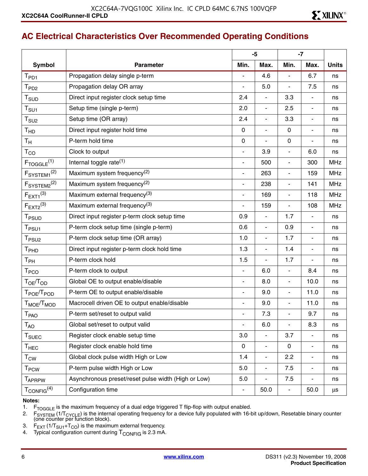# **AC Electrical Characteristics Over Recommended Operating Conditions**

|                                               |                                                     | $-5$                     |                          |                          | $-7$                         |              |
|-----------------------------------------------|-----------------------------------------------------|--------------------------|--------------------------|--------------------------|------------------------------|--------------|
| <b>Symbol</b>                                 | <b>Parameter</b>                                    | Min.                     | Max.                     | Min.                     | Max.                         | <b>Units</b> |
| $T_{PD1}$                                     | Propagation delay single p-term                     |                          | 4.6                      | $\frac{1}{2}$            | 6.7                          | ns           |
| T <sub>PD2</sub>                              | Propagation delay OR array                          | $\blacksquare$           | 5.0                      | $\overline{\phantom{a}}$ | 7.5                          | ns           |
| $T_{\scriptstyle\text{SUD}}$                  | Direct input register clock setup time              | 2.4                      | $\overline{\phantom{a}}$ | 3.3                      | $\blacksquare$               | ns           |
| $\mathsf{T}_{\mathsf{S}\mathsf{U}\mathsf{1}}$ | Setup time (single p-term)                          | 2.0                      | $\blacksquare$           | 2.5                      | $\blacksquare$               | ns           |
| T <sub>SU2</sub>                              | Setup time (OR array)                               | 2.4                      | $\overline{a}$           | 3.3                      | $\blacksquare$               | ns           |
| T <sub>HD</sub>                               | Direct input register hold time                     | $\mathbf 0$              | $\blacksquare$           | $\mathbf 0$              | $\overline{\phantom{a}}$     | ns           |
| $T_{\rm H}$                                   | P-term hold time                                    | $\mathbf 0$              | $\overline{a}$           | $\mathbf 0$              | $\blacksquare$               | ns           |
| $\mathsf{T}_{\mathsf{CO}}$                    | Clock to output                                     | $\blacksquare$           | 3.9                      | $\overline{\phantom{a}}$ | 6.0                          | ns           |
| $F_{TOGGLE}$ <sup>(1)</sup>                   | Internal toggle rate <sup>(1)</sup>                 | $\overline{\phantom{a}}$ | 500                      | $\overline{\phantom{a}}$ | 300                          | <b>MHz</b>   |
| F <sub>SYSTEM1</sub> <sup>(2)</sup>           | Maximum system frequency <sup>(2)</sup>             | $\blacksquare$           | 263                      | ä,                       | 159                          | <b>MHz</b>   |
| F <sub>SYSTEM2</sub> <sup>(2)</sup>           | Maximum system frequency <sup>(2)</sup>             | $\overline{\phantom{a}}$ | 238                      | $\overline{\phantom{a}}$ | 141                          | <b>MHz</b>   |
| $F_{EXT1}^{(3)}$                              | Maximum external frequency <sup>(3)</sup>           | $\blacksquare$           | 169                      | ä,                       | 118                          | <b>MHz</b>   |
| $F_{EXT2}^{(3)}$                              | Maximum external frequency(3)                       | $\blacksquare$           | 159                      | $\overline{\phantom{a}}$ | 108                          | <b>MHz</b>   |
| T <sub>PSUD</sub>                             | Direct input register p-term clock setup time       | 0.9                      | $\overline{a}$           | 1.7                      | $\blacksquare$               | ns           |
| T <sub>PSU1</sub>                             | P-term clock setup time (single p-term)             | 0.6                      | $\overline{\phantom{a}}$ | 0.9                      | $\blacksquare$               | ns           |
| T <sub>PSU2</sub>                             | P-term clock setup time (OR array)                  | 1.0                      | $\blacksquare$           | 1.7                      | $\blacksquare$               | ns           |
| T <sub>PHD</sub>                              | Direct input register p-term clock hold time        | 1.3                      | $\blacksquare$           | 1.4                      | $\overline{\phantom{a}}$     | ns           |
| Т <sub>РН</sub>                               | P-term clock hold                                   | 1.5                      | $\blacksquare$           | 1.7                      | $\blacksquare$               | ns           |
| T <sub>PCO</sub>                              | P-term clock to output                              | $\overline{\phantom{a}}$ | 6.0                      | $\overline{\phantom{a}}$ | 8.4                          | ns           |
| T <sub>OE</sub> /T <sub>OD</sub>              | Global OE to output enable/disable                  | $\blacksquare$           | 8.0                      | $\overline{\phantom{a}}$ | 10.0                         | ns           |
| T <sub>POE</sub> /T <sub>POD</sub>            | P-term OE to output enable/disable                  | $\overline{\phantom{a}}$ | 9.0                      | $\blacksquare$           | 11.0                         | ns           |
| T <sub>MOE</sub> /T <sub>MOD</sub>            | Macrocell driven OE to output enable/disable        | $\blacksquare$           | 9.0                      | $\blacksquare$           | 11.0                         | ns           |
| T <sub>PAO</sub>                              | P-term set/reset to output valid                    | $\overline{\phantom{a}}$ | 7.3                      | ä,                       | 9.7                          | ns           |
| $T_{AO}$                                      | Global set/reset to output valid                    |                          | 6.0                      | ä,                       | 8.3                          | ns           |
| T <sub>SUEC</sub>                             | Register clock enable setup time                    | 3.0                      | $\overline{a}$           | 3.7                      | $\overline{\phantom{a}}$     | ns           |
| $\mathsf{T}_{\mathsf{HEC}}$                   | Register clock enable hold time                     | $\mathbf 0$              | $\blacksquare$           | $\mathbf 0$              | $\overline{\phantom{a}}$     | ns           |
| $\mathsf{T}_{\mathsf{CW}}$                    | Global clock pulse width High or Low                | 1.4                      | $\overline{\phantom{a}}$ | 2.2                      | $\blacksquare$               | ns           |
| <b>T<sub>PCW</sub></b>                        | P-term pulse width High or Low                      | 5.0                      | $\blacksquare$           | 7.5                      | $\qquad \qquad \blacksquare$ | ns           |
| <b>TAPRPW</b>                                 | Asynchronous preset/reset pulse width (High or Low) | 5.0                      | $\blacksquare$           | 7.5                      | $\blacksquare$               | ns           |
| $T_{\rm CONFIG}^{(4)}$                        | Configuration time                                  | $\overline{\phantom{a}}$ | 50.0                     | $\blacksquare$           | 50.0                         | μs           |

#### **Notes:**

1.  $F_{TOGGLE}$  is the maximum frequency of a dual edge triggered T flip-flop with output enabled.<br>2.  $F_{SYSTFM}$  (1/T<sub>CYCI F</sub>) is the internal operating frequency for a device fully populated with 16-

2. F<sub>SYSTEM</sub> (1/T<sub>CYCLE</sub>) is the internal operating frequency for a device fully populated with 16-bit up/down, Resetable binary counter<br>(one counter per function block).

- 3.  $F_{\text{EXT}}$  (1/T<sub>SU1</sub>+T<sub>CO</sub>) is the maximum external frequency.
- 4. Typical configuration current during  $T_{\rm CONFIG}$  is 2.3 mA.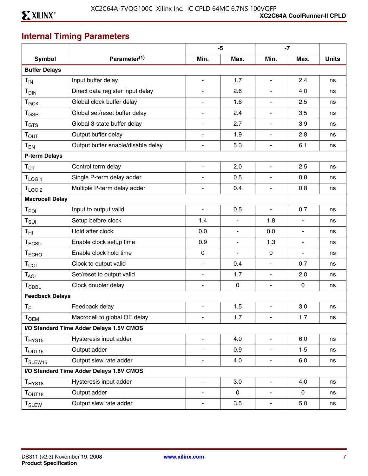# **Internal Timing Parameters**

|                               |                                          |                          | $-5$           |                              | $-7$           |              |
|-------------------------------|------------------------------------------|--------------------------|----------------|------------------------------|----------------|--------------|
| <b>Symbol</b>                 | Parameter <sup>(1)</sup>                 | Min.                     | Max.           | Min.                         | Max.           | <b>Units</b> |
| <b>Buffer Delays</b>          |                                          |                          |                |                              |                |              |
| $T_{IN}$                      | Input buffer delay                       | $\blacksquare$           | 1.7            | ä,                           | 2.4            | ns           |
| T <sub>DIN</sub>              | Direct data register input delay         |                          | 2.6            |                              | 4.0            | ns           |
| $T_{GCK}$                     | Global clock buffer delay                |                          | 1.6            | $\overline{a}$               | 2.5            | ns           |
| $T_{\text{GSR}}$              | Global set/reset buffer delay            |                          | 2.4            | $\blacksquare$               | 3.5            | ns           |
| T <sub>GTS</sub>              | Global 3-state buffer delay              |                          | 2.7            | $\blacksquare$               | 3.9            | ns           |
| T <sub>OUT</sub>              | Output buffer delay                      |                          | 1.9            | $\blacksquare$               | 2.8            | ns           |
| $T_{EN}$                      | Output buffer enable/disable delay       | $\blacksquare$           | 5.3            | $\blacksquare$               | 6.1            | ns           |
| <b>P-term Delays</b>          |                                          |                          |                |                              |                |              |
| $\mathsf{T}_{\text{CT}}$      | Control term delay                       | $\blacksquare$           | 2.0            | ä,                           | 2.5            | ns           |
| $T_{LOGI1}$                   | Single P-term delay adder                | $\blacksquare$           | 0.5            | $\overline{a}$               | 0.8            | ns           |
| T <sub>LOGI2</sub>            | Multiple P-term delay adder              | $\blacksquare$           | 0.4            | $\blacksquare$               | 0.8            | ns           |
| <b>Macrocell Delay</b>        |                                          |                          |                |                              |                |              |
| T <sub>PDI</sub>              | Input to output valid                    | $\blacksquare$           | 0.5            | $\overline{\phantom{a}}$     | 0.7            | ns           |
| $T_{\text{SUI}}$              | Setup before clock                       | 1.4                      | $\sim$         | 1.8                          | $\blacksquare$ | ns           |
| $\mathsf{T}_{\mathsf{HI}}$    | Hold after clock                         | 0.0                      | $\blacksquare$ | 0.0                          | $\blacksquare$ | ns           |
| $T_{ECSU}$                    | Enable clock setup time                  | 0.9                      | $\blacksquare$ | 1.3                          | $\blacksquare$ | ns           |
| T <sub>ECHO</sub>             | Enable clock hold time                   | $\mathbf 0$              | $\blacksquare$ | $\mathbf 0$                  | $\blacksquare$ | ns           |
| $T_{COI}$                     | Clock to output valid                    | $\blacksquare$           | 0.4            | $\blacksquare$               | 0.7            | ns           |
| $T_{AOI}$                     | Set/reset to output valid                | $\blacksquare$           | 1.7            | $\overline{\phantom{a}}$     | 2.0            | ns           |
| <b>TCDBL</b>                  | Clock doubler delay                      | $\blacksquare$           | $\mathbf 0$    | $\overline{\phantom{a}}$     | $\mathbf 0$    | ns           |
| <b>Feedback Delays</b>        |                                          |                          |                |                              |                |              |
| $T_F$                         | Feedback delay                           | $\blacksquare$           | 1.5            | $\overline{\phantom{a}}$     | 3.0            | ns           |
| Тоєм                          | Macrocell to global OE delay             |                          | 1.7            | $\overline{\phantom{0}}$     | 1.7            | ns           |
|                               | I/O Standard Time Adder Delays 1.5V CMOS |                          |                |                              |                |              |
| $T_{HYS15}$                   | Hysteresis input adder                   | $\blacksquare$           | 4.0            | $\overline{\phantom{a}}$     | 6.0            | ns           |
| $T_{\text{OUT15}}$            | Output adder                             |                          | 0.9            | $\blacksquare$               | 1.5            | ns           |
| T <sub>SLEW15</sub>           | Output slew rate adder                   | $\blacksquare$           | 4.0            | $\overline{\phantom{m}}$     | 6.0            | ns           |
|                               | I/O Standard Time Adder Delays 1.8V CMOS |                          |                |                              |                |              |
| $T_{HYS18}$                   | Hysteresis input adder                   | $\overline{\phantom{a}}$ | 3.0            | $\overline{\phantom{a}}$     | 4.0            | ns           |
| $\mathsf{T}_{\mathsf{OUT18}}$ | Output adder                             | $\blacksquare$           | $\mathbf 0$    | $\qquad \qquad \blacksquare$ | 0              | ns           |
| $\mathsf{T}_{\mathsf{SLEW}}$  | Output slew rate adder                   | $\blacksquare$           | 3.5            | $\overline{\phantom{m}}$     | 5.0            | ns           |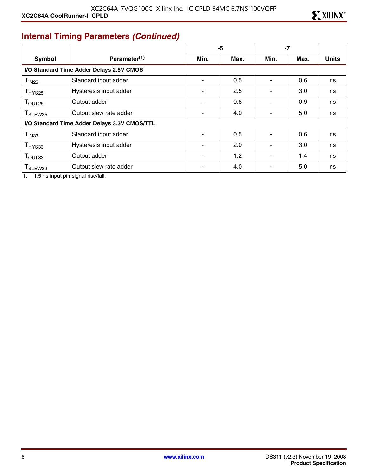# **Internal Timing Parameters** *(Continued)*

|                                              |                                          | -5                       |      | $-7$                     |      |              |
|----------------------------------------------|------------------------------------------|--------------------------|------|--------------------------|------|--------------|
| <b>Symbol</b>                                | Parameter <sup>(1)</sup>                 | Min.                     | Max. | Min.                     | Max. | <b>Units</b> |
|                                              | I/O Standard Time Adder Delays 2.5V CMOS |                          |      |                          |      |              |
| T <sub>IN25</sub>                            | Standard input adder                     | $\overline{\phantom{0}}$ | 0.5  | Ξ.                       | 0.6  | ns           |
| T <sub>HYS25</sub>                           | Hysteresis input adder                   |                          | 2.5  |                          | 3.0  | ns           |
| T <sub>OUT25</sub>                           | Output adder                             |                          | 0.8  |                          | 0.9  | ns           |
| T <sub>SLEW25</sub>                          | Output slew rate adder                   |                          | 4.0  | ۰                        | 5.0  | ns           |
| I/O Standard Time Adder Delays 3.3V CMOS/TTL |                                          |                          |      |                          |      |              |
| T <sub>IN33</sub>                            | Standard input adder                     |                          | 0.5  | $\blacksquare$           | 0.6  | ns           |
| T <sub>HYS33</sub>                           | Hysteresis input adder                   |                          | 2.0  | $\blacksquare$           | 3.0  | ns           |
| T <sub>OUT33</sub>                           | Output adder                             |                          | 1.2  | $\blacksquare$           | 1.4  | ns           |
| T <sub>SLEW33</sub>                          | Output slew rate adder                   |                          | 4.0  | $\overline{\phantom{0}}$ | 5.0  | ns           |

1. 1.5 ns input pin signal rise/fall.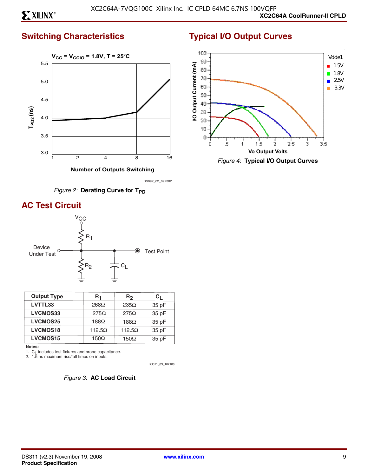### **Switching Characteristics**



 **Number of Outputs Switching**

DS092\_02\_092302



# **AC Test Circuit**



| <b>Output Type</b> | R1            | R <sub>2</sub> | Сı    |
|--------------------|---------------|----------------|-------|
| LVTTL33            | $268\Omega$   | $235\Omega$    | 35 pF |
| LVCMOS33           | $275\Omega$   | $275\Omega$    | 35 pF |
| <b>LVCMOS25</b>    | 188 $\Omega$  | $188\Omega$    | 35 pF |
| <b>LVCMOS18</b>    | $112.5\Omega$ | $112.5\Omega$  | 35 pF |
| <b>LVCMOS15</b>    | 150 $\Omega$  | $150\Omega$    | 35 pF |

**Notes:**

1. C<sub>L</sub> includes test fixtures and probe capacitance.<br>2. 1.5 ns maximum rise/fall times on inputs.

DS311\_03\_102108



# **Typical I/O Output Curves**



*Figure 4:* **Typical I/O Output Curves**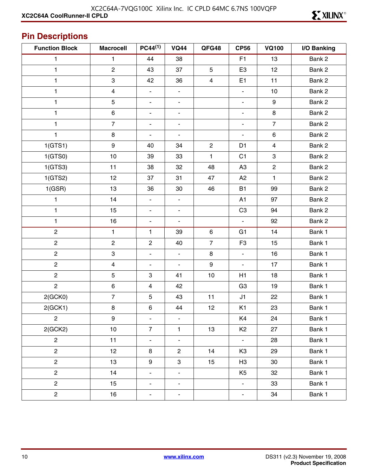# **Pin Descriptions**

| <b>Function Block</b> | <b>Macrocell</b>          | $PC44^{(1)}$             | <b>VQ44</b>              | QFG48                   | <b>CP56</b>                  | <b>VQ100</b>   | I/O Banking |
|-----------------------|---------------------------|--------------------------|--------------------------|-------------------------|------------------------------|----------------|-------------|
| 1                     | 1                         | 44                       | 38                       |                         | F <sub>1</sub>               | 13             | Bank 2      |
| 1                     | $\overline{c}$            | 43                       | 37                       | 5                       | E <sub>3</sub>               | 12             | Bank 2      |
| 1                     | $\ensuremath{\mathsf{3}}$ | 42                       | 36                       | $\overline{\mathbf{4}}$ | E <sub>1</sub>               | 11             | Bank 2      |
| 1                     | $\overline{\mathbf{4}}$   | $\blacksquare$           | $\overline{\phantom{a}}$ |                         | $\blacksquare$               | $10$           | Bank 2      |
| 1                     | $\mathbf 5$               | $\overline{\phantom{a}}$ | $\blacksquare$           |                         | $\overline{\phantom{a}}$     | 9              | Bank 2      |
| 1                     | $\,6\,$                   | $\overline{\phantom{0}}$ | $\overline{\phantom{a}}$ |                         | $\qquad \qquad \blacksquare$ | 8              | Bank 2      |
| 1                     | $\overline{7}$            | $\overline{\phantom{a}}$ | $\blacksquare$           |                         | $\overline{\phantom{a}}$     | $\overline{7}$ | Bank 2      |
| 1                     | $\bf 8$                   | $\overline{\phantom{0}}$ | $\overline{\phantom{a}}$ |                         | $\blacksquare$               | 6              | Bank 2      |
| 1(GTS1)               | $\boldsymbol{9}$          | 40                       | 34                       | $\overline{c}$          | D <sub>1</sub>               | 4              | Bank 2      |
| 1(GTS0)               | 10                        | 39                       | 33                       | 1                       | C <sub>1</sub>               | 3              | Bank 2      |
| 1(GTS3)               | 11                        | 38                       | 32                       | 48                      | A <sub>3</sub>               | $\mathbf{2}$   | Bank 2      |
| 1(GTS2)               | 12                        | 37                       | 31                       | 47                      | A2                           | $\mathbf{1}$   | Bank 2      |
| 1(GSR)                | 13                        | 36                       | 30                       | 46                      | <b>B1</b>                    | 99             | Bank 2      |
| 1                     | 14                        | $\blacksquare$           | $\overline{\phantom{a}}$ |                         | A1                           | 97             | Bank 2      |
| 1                     | 15                        | $\overline{\phantom{a}}$ | $\blacksquare$           |                         | C <sub>3</sub>               | 94             | Bank 2      |
| 1                     | 16                        | $\frac{1}{2}$            | $\blacksquare$           |                         | $\blacksquare$               | 92             | Bank 2      |
| $\overline{c}$        | 1                         | 1                        | 39                       | $\,6\,$                 | G <sub>1</sub>               | 14             | Bank 1      |
| $\overline{c}$        | $\overline{c}$            | $\overline{2}$           | 40                       | $\overline{7}$          | F <sub>3</sub>               | 15             | Bank 1      |
| $\overline{c}$        | $\ensuremath{\mathsf{3}}$ | $\overline{\phantom{0}}$ | $\blacksquare$           | 8                       | $\blacksquare$               | 16             | Bank 1      |
| $\overline{c}$        | $\overline{\mathbf{4}}$   | $\overline{\phantom{a}}$ | $\overline{\phantom{a}}$ | $\boldsymbol{9}$        | $\blacksquare$               | 17             | Bank 1      |
| $\overline{c}$        | $\mathbf 5$               | $\mathfrak{S}$           | 41                       | $10$                    | H1                           | 18             | Bank 1      |
| $\overline{c}$        | $\,6\,$                   | $\overline{\mathbf{4}}$  | 42                       |                         | G <sub>3</sub>               | 19             | Bank 1      |
| 2(GCKO)               | $\overline{7}$            | $\sqrt{5}$               | 43                       | 11                      | J1                           | 22             | Bank 1      |
| 2(GCK1)               | $\bf8$                    | $\,6\,$                  | 44                       | 12                      | K <sub>1</sub>               | 23             | Bank 1      |
| $\overline{2}$        | $\boldsymbol{9}$          | $\overline{\phantom{a}}$ | $\blacksquare$           |                         | K4                           | 24             | Bank 1      |
| 2(GCK2)               | 10                        | $\overline{7}$           | $\mathbf{1}$             | 13                      | K <sub>2</sub>               | 27             | Bank 1      |
| $\overline{c}$        | 11                        | $\qquad \qquad -$        | $\overline{\phantom{a}}$ |                         | $\overline{\phantom{a}}$     | 28             | Bank 1      |
| $\overline{c}$        | 12                        | 8                        | $\overline{c}$           | 14                      | K <sub>3</sub>               | 29             | Bank 1      |
| $\overline{c}$        | 13                        | $\boldsymbol{9}$         | 3                        | 15                      | H <sub>3</sub>               | 30             | Bank 1      |
| $\mathbf{2}$          | 14                        | $\blacksquare$           | $\overline{\phantom{a}}$ |                         | K <sub>5</sub>               | 32             | Bank 1      |
| $\overline{c}$        | 15                        | $\frac{1}{2}$            | $\overline{\phantom{a}}$ |                         | $\overline{\phantom{a}}$     | 33             | Bank 1      |
| $\overline{c}$        | 16                        | $\blacksquare$           | $\overline{\phantom{a}}$ |                         | $\overline{\phantom{a}}$     | 34             | Bank 1      |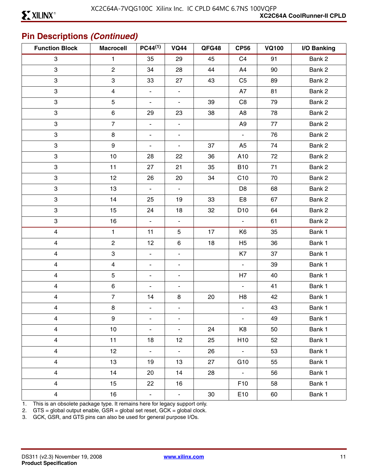# **Pin Descriptions** *(Continued)*

| <b>Function Block</b>   | <b>Macrocell</b> | $PC44^{(1)}$             | <b>VQ44</b>              | QFG48 | <b>CP56</b><br><b>VQ100</b> |    | I/O Banking |
|-------------------------|------------------|--------------------------|--------------------------|-------|-----------------------------|----|-------------|
| 3                       | $\mathbf{1}$     | 35                       | 29                       | 45    | C <sub>4</sub>              | 91 | Bank 2      |
| 3                       | $\overline{2}$   | 34                       | 28                       | 44    | A4                          | 90 | Bank 2      |
| 3                       | 3                | 33                       | 27                       | 43    | C <sub>5</sub>              | 89 | Bank 2      |
| 3                       | 4                | $\overline{\phantom{a}}$ | $\blacksquare$           |       | A7                          | 81 | Bank 2      |
| 3                       | 5                | $\overline{\phantom{a}}$ | $\blacksquare$           | 39    | C <sub>8</sub>              | 79 | Bank 2      |
| 3                       | 6                | 29                       | 23                       | 38    | A <sub>8</sub>              | 78 | Bank 2      |
| 3                       | $\overline{7}$   | $\blacksquare$           | $\overline{\phantom{a}}$ |       | A <sub>9</sub>              | 77 | Bank 2      |
| 3                       | $\bf 8$          | $\overline{\phantom{a}}$ | $\overline{\phantom{a}}$ |       | $\blacksquare$              | 76 | Bank 2      |
| 3                       | 9                | $\blacksquare$           | $\overline{\phantom{a}}$ | 37    | A <sub>5</sub>              | 74 | Bank 2      |
| 3                       | 10               | 28                       | 22                       | 36    | A10                         | 72 | Bank 2      |
| 3                       | 11               | 27                       | 21                       | 35    | <b>B10</b>                  | 71 | Bank 2      |
| 3                       | 12               | 26                       | 20                       | 34    | C <sub>10</sub>             | 70 | Bank 2      |
| 3                       | 13               | $\blacksquare$           | $\blacksquare$           |       | D <sub>8</sub>              | 68 | Bank 2      |
| 3                       | 14               | 25                       | 19                       | 33    | E8                          | 67 | Bank 2      |
| 3                       | 15               | 24                       | 18                       | 32    | D <sub>10</sub>             | 64 | Bank 2      |
| 3                       | 16               | $\blacksquare$           | $\blacksquare$           |       | $\blacksquare$              | 61 | Bank 2      |
| $\overline{\mathbf{4}}$ | $\mathbf{1}$     | 11                       | 5                        | 17    | K <sub>6</sub>              | 35 | Bank 1      |
| $\overline{\mathbf{4}}$ | $\overline{c}$   | 12                       | $\,6\,$                  | 18    | H <sub>5</sub>              | 36 | Bank 1      |
| $\overline{\mathbf{4}}$ | 3                | $\overline{\phantom{a}}$ | $\blacksquare$           |       | K7                          | 37 | Bank 1      |
| $\overline{\mathbf{4}}$ | 4                | $\overline{\phantom{a}}$ | $\overline{\phantom{a}}$ |       | $\blacksquare$              | 39 | Bank 1      |
| 4                       | 5                | $\blacksquare$           | ۰                        |       | H7                          | 40 | Bank 1      |
| $\overline{\mathbf{4}}$ | 6                | $\overline{\phantom{a}}$ | $\overline{\phantom{a}}$ |       | $\blacksquare$              | 41 | Bank 1      |
| $\overline{\mathbf{4}}$ | $\overline{7}$   | 14                       | 8                        | 20    | H <sub>8</sub>              | 42 | Bank 1      |
| $\overline{\mathbf{4}}$ | 8                | $\blacksquare$           | $\overline{\phantom{a}}$ |       | ۰                           | 43 | Bank 1      |
| 4                       | 9                | $\blacksquare$           | $\blacksquare$           |       | $\blacksquare$              | 49 | Bank 1      |
| $\overline{\mathbf{4}}$ | 10               | $\blacksquare$           | $\blacksquare$           | 24    | K8                          | 50 | Bank 1      |
| $\overline{\mathbf{4}}$ | 11               | 18                       | 12                       | 25    | H <sub>10</sub>             | 52 | Bank 1      |
| $\overline{\mathbf{4}}$ | 12 <sub>2</sub>  | $\blacksquare$           | $\Box$                   | 26    | $\omega_{\rm c}$            | 53 | Bank 1      |
| $\overline{\mathbf{4}}$ | 13               | 19                       | 13                       | 27    | G10                         | 55 | Bank 1      |
| $\overline{\mathbf{4}}$ | 14               | 20                       | 14                       | 28    | $\omega_{\rm c}$            | 56 | Bank 1      |
| $\overline{\mathbf{4}}$ | 15               | 22                       | 16                       |       | F <sub>10</sub>             | 58 | Bank 1      |
| 4                       | 16               | $\blacksquare$           | $\blacksquare$           | 30    | E10                         | 60 | Bank 1      |

1. This is an obsolete package type. It remains here for legacy support only.

2. GTS = global output enable, GSR = global set reset, GCK = global clock.

3. GCK, GSR, and GTS pins can also be used for general purpose I/Os.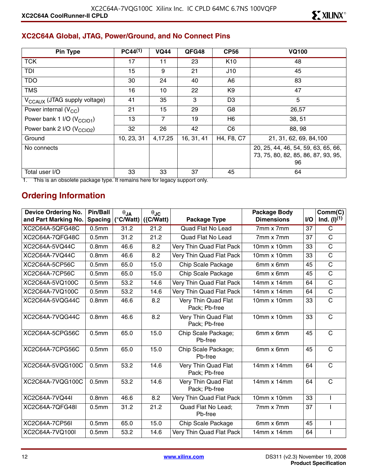#### **XC2C64A Global, JTAG, Power/Ground, and No Connect Pins**

| <b>Pin Type</b>                          | $PC44^{(1)}$ | <b>VQ44</b> | QFG48      | <b>CP56</b>     | <b>VQ100</b>                                                                     |
|------------------------------------------|--------------|-------------|------------|-----------------|----------------------------------------------------------------------------------|
| <b>TCK</b>                               | 17           | 11          | 23         | K <sub>10</sub> | 48                                                                               |
| TDI                                      | 15           | 9           | 21         | J10             | 45                                                                               |
| <b>TDO</b>                               | 30           | 24          | 40         | A6              | 83                                                                               |
| <b>TMS</b>                               | 16           | 10          | 22         | K9              | 47                                                                               |
| V <sub>CCAUX</sub> (JTAG supply voltage) | 41           | 35          | 3          | D <sub>3</sub>  | 5                                                                                |
| Power internal $(V_{CC})$                | 21           | 15          | 29         | G8              | 26,57                                                                            |
| Power bank 1 I/O (V <sub>CCIO1</sub> )   | 13           | 7           | 19         | H6              | 38, 51                                                                           |
| Power bank 2 I/O (V <sub>CCIO2</sub> )   | 32           | 26          | 42         | C <sub>6</sub>  | 88, 98                                                                           |
| Ground                                   | 10, 23, 31   | 4,17,25     | 16, 31, 41 | H4, F8, C7      | 21, 31, 62, 69, 84, 100                                                          |
| No connects                              |              |             |            |                 | 20, 25, 44, 46, 54, 59, 63, 65, 66,<br>73, 75, 80, 82, 85, 86, 87, 93, 95,<br>96 |
| Total user I/O                           | 33           | 33          | 37         | 45              | 64                                                                               |

1. This is an obsolete package type. It remains here for legacy support only.

#### **Ordering Information**

| <b>Device Ordering No.</b> | <b>Pin/Ball</b>   | $\theta$ JA        | $\theta$ JC  |                                      | <b>Package Body</b> |           | Comm(C)               |
|----------------------------|-------------------|--------------------|--------------|--------------------------------------|---------------------|-----------|-----------------------|
| and Part Marking No.       | <b>Spacing</b>    | $(^{\circ}C/Watt)$ | $({C/Watt})$ | Package Type                         | <b>Dimensions</b>   | <b>VO</b> | Ind. $(l)^{(1)}$      |
| XC2C64A-5QFG48C            | 0.5 <sub>mm</sub> | 31.2               | 21.2         | <b>Quad Flat No Lead</b>             | 7mm x 7mm           | 37        | $\mathsf{C}$          |
| XC2C64A-7QFG48C            | 0.5 <sub>mm</sub> | 31.2               | 21.2         | <b>Quad Flat No Lead</b>             | 7mm x 7mm           | 37        | $\mathsf{C}$          |
| XC2C64A-5VQ44C             | 0.8 <sub>mm</sub> | 46.6               | 8.2          | Very Thin Quad Flat Pack             | 10mm x 10mm         | 33        | $\mathsf C$           |
| XC2C64A-7VQ44C             | 0.8 <sub>mm</sub> | 46.6               | 8.2          | Very Thin Quad Flat Pack             | 10mm x 10mm         | 33        | C                     |
| XC2C64A-5CP56C             | 0.5 <sub>mm</sub> | 65.0               | 15.0         | Chip Scale Package                   | 6mm x 6mm           | 45        | $\mathsf C$           |
| XC2C64A-7CP56C             | 0.5 <sub>mm</sub> | 65.0               | 15.0         | Chip Scale Package                   | 6mm x 6mm           | 45        | $\overline{\text{c}}$ |
| XC2C64A-5VQ100C            | 0.5 <sub>mm</sub> | 53.2               | 14.6         | Very Thin Quad Flat Pack             | $14mm \times 14mm$  | 64        | $\overline{\text{C}}$ |
| XC2C64A-7VQ100C            | 0.5 <sub>mm</sub> | 53.2               | 14.6         | Very Thin Quad Flat Pack             | $14mm \times 14mm$  | 64        | $\overline{\text{c}}$ |
| XC2C64A-5VQG44C            | 0.8 <sub>mm</sub> | 46.6               | 8.2          | Very Thin Quad Flat<br>Pack: Pb-free | 10mm x 10mm         | 33        | $\mathbf C$           |
| XC2C64A-7VQG44C            | 0.8 <sub>mm</sub> | 46.6               | 8.2          | Very Thin Quad Flat<br>Pack; Pb-free | $10mm \times 10mm$  | 33        | $\overline{C}$        |
| XC2C64A-5CPG56C            | 0.5 <sub>mm</sub> | 65.0               | 15.0         | Chip Scale Package;<br>Pb-free       | 6mm x 6mm           | 45        | $\mathsf{C}$          |
| XC2C64A-7CPG56C            | 0.5 <sub>mm</sub> | 65.0               | 15.0         | Chip Scale Package;<br>Ph-free       | 6mm x 6mm           | 45        | $\mathsf{C}$          |
| XC2C64A-5VQG100C           | 0.5 <sub>mm</sub> | 53.2               | 14.6         | Very Thin Quad Flat<br>Pack; Pb-free | $14mm \times 14mm$  | 64        | $\overline{C}$        |
| XC2C64A-7VQG100C           | 0.5 <sub>mm</sub> | 53.2               | 14.6         | Very Thin Quad Flat<br>Pack; Pb-free | $14mm \times 14mm$  | 64        | $\mathsf{C}$          |
| XC2C64A-7VQ44I             | 0.8 <sub>mm</sub> | 46.6               | 8.2          | Very Thin Quad Flat Pack             | $10mm \times 10mm$  | 33        |                       |
| XC2C64A-7QFG48I            | 0.5 <sub>mm</sub> | 31.2               | 21.2         | Quad Flat No Lead;<br>Pb-free        | 7mm x 7mm           | 37        |                       |
| XC2C64A-7CP56I             | 0.5 <sub>mm</sub> | 65.0               | 15.0         | Chip Scale Package                   | 6mm x 6mm           | 45        |                       |
| XC2C64A-7VQ100I            | 0.5 <sub>mm</sub> | 53.2               | 14.6         | Very Thin Quad Flat Pack             | 14mm x 14mm         | 64        |                       |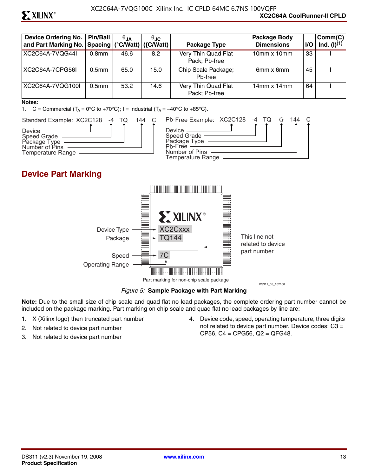# **ST XILINX®**

| <b>Device Ordering No.</b><br>and Part Marking No.   Spacing   (°C/Watt) | <b>Pin/Ball</b>   | $\theta$ JA | $\theta$ JC<br>$\left  \right $ ({C/Watt) $\left  \right $ | Package Type                         | Package Body<br><b>Dimensions</b> | <b>VO</b> | Comm(C)<br>Ind. $(l)^{(1)}$ |
|--------------------------------------------------------------------------|-------------------|-------------|------------------------------------------------------------|--------------------------------------|-----------------------------------|-----------|-----------------------------|
| XC2C64A-7VQG44I                                                          | 0.8 <sub>mm</sub> | 46.6        | 8.2                                                        | Very Thin Quad Flat<br>Pack; Pb-free | $10$ mm x $10$ mm                 | 33        |                             |
| XC2C64A-7CPG56L                                                          | 0.5 <sub>mm</sub> | 65.0        | 15.0                                                       | Chip Scale Package;<br>Ph-free       | 6mm x 6mm                         | 45        |                             |
| XC2C64A-7VQG100I                                                         | 0.5 <sub>mm</sub> | 53.2        | 14.6                                                       | Very Thin Quad Flat<br>Pack: Pb-free | $14$ mm x $14$ mm                 | 64        |                             |

#### **Notes:**

1. C = Commercial  $(T_A = 0^\circ \text{C}$  to +70°C); I = Industrial  $(T_A = -40^\circ \text{C}$  to +85°C).



#### **Device Part Marking**



*Figure 5:* **Sample Package with Part Marking**

**Note:** Due to the small size of chip scale and quad flat no lead packages, the complete ordering part number cannot be included on the package marking. Part marking on chip scale and quad flat no lead packages by line are:

- 1. X (Xilinx logo) then truncated part number
- 2. Not related to device part number
- 3. Not related to device part number

4. Device code, speed, operating temperature, three digits not related to device part number. Device codes: C3 = CP56, C4 = CPG56, Q2 = QFG48.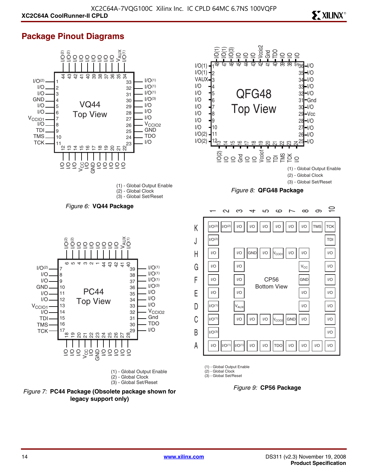# **ST XILINX<sup>®</sup>**

#### **Package Pinout Diagrams**







(1) - Global Output Enable

(2) - Global Clock (3) - Global Set/Reset

*Figure 9:* **CP56 Package**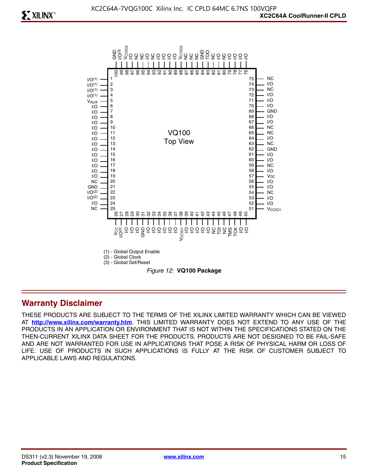

#### **Warranty Disclaimer**

THESE PRODUCTS ARE SUBJECT TO THE TERMS OF THE XILINX LIMITED WARRANTY WHICH CAN BE VIEWED AT **<http://www.xilinx.com/warranty.htm>**. THIS LIMITED WARRANTY DOES NOT EXTEND TO ANY USE OF THE PRODUCTS IN AN APPLICATION OR ENVIRONMENT THAT IS NOT WITHIN THE SPECIFICATIONS STATED ON THE THEN-CURRENT XILINX DATA SHEET FOR THE PRODUCTS. PRODUCTS ARE NOT DESIGNED TO BE FAIL-SAFE AND ARE NOT WARRANTED FOR USE IN APPLICATIONS THAT POSE A RISK OF PHYSICAL HARM OR LOSS OF LIFE. USE OF PRODUCTS IN SUCH APPLICATIONS IS FULLY AT THE RISK OF CUSTOMER SUBJECT TO APPLICABLE LAWS AND REGULATIONS.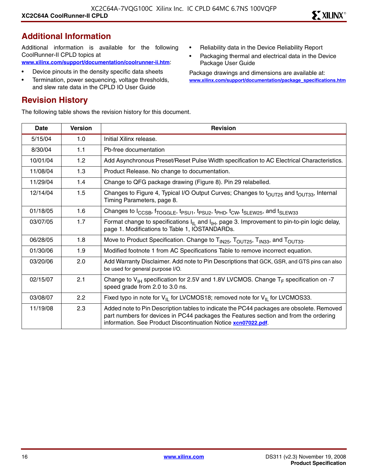# **Additional Information**

Additional information is available for the following CoolRunner-II CPLD topics at **[www.xilinx.com/support/documentation/coolrunner-ii.htm](http://www.xilinx.com/support/documentation/coolrunner-ii.htm)**:

- Device pinouts in the density specific data sheets
- Termination, power sequencing, voltage thresholds, and slew rate data in the CPLD IO User Guide

### **Revision History**

The following table shows the revision history for this document.

- Reliability data in the Device Reliability Report
- Packaging thermal and electrical data in the Device Package User Guide

Package drawings and dimensions are available at: **[www.xilinx.com/support/documentation/package\\_specifications.htm](http://www.xilinx.com/support/documentation/package_specifications.htm)**

| Date     | <b>Version</b> | <b>Revision</b>                                                                                                                                                                                                                                   |
|----------|----------------|---------------------------------------------------------------------------------------------------------------------------------------------------------------------------------------------------------------------------------------------------|
| 5/15/04  | 1.0            | Initial Xilinx release.                                                                                                                                                                                                                           |
| 8/30/04  | 1.1            | Pb-free documentation                                                                                                                                                                                                                             |
| 10/01/04 | 1.2            | Add Asynchronous Preset/Reset Pulse Width specification to AC Electrical Characteristics.                                                                                                                                                         |
| 11/08/04 | 1.3            | Product Release. No change to documentation.                                                                                                                                                                                                      |
| 11/29/04 | 1.4            | Change to QFG package drawing (Figure 8). Pin 29 relabelled.                                                                                                                                                                                      |
| 12/14/04 | 1.5            | Changes to Figure 4, Typical I/O Output Curves; Changes to t <sub>OUT25</sub> and t <sub>OUT33</sub> , Internal<br>Timing Parameters, page 8.                                                                                                     |
| 01/18/05 | 1.6            | Changes to I <sub>CCSB</sub> , f <sub>TOGGLE</sub> , t <sub>PSU1</sub> , t <sub>PSU2</sub> , t <sub>PHD</sub> , t <sub>CW</sub> , t <sub>SLEW25</sub> , and t <sub>SLEW33</sub>                                                                   |
| 03/07/05 | 1.7            | Format change to specifications $I_{IL}$ and $I_{IH}$ , page 3. Improvement to pin-to-pin logic delay,<br>page 1. Modifications to Table 1, IOSTANDARDs.                                                                                          |
| 06/28/05 | 1.8            | Move to Product Specification. Change to T <sub>IN25</sub> , T <sub>OUT25</sub> , T <sub>IN33</sub> , and T <sub>OUT33</sub> .                                                                                                                    |
| 01/30/06 | 1.9            | Modified footnote 1 from AC Specifications Table to remove incorrect equation.                                                                                                                                                                    |
| 03/20/06 | 2.0            | Add Warranty Disclaimer. Add note to Pin Descriptions that GCK, GSR, and GTS pins can also<br>be used for general purpose I/O.                                                                                                                    |
| 02/15/07 | 2.1            | Change to $V_{H}$ specification for 2.5V and 1.8V LVCMOS. Change $T_F$ specification on -7<br>speed grade from 2.0 to 3.0 ns.                                                                                                                     |
| 03/08/07 | 2.2            | Fixed typo in note for $V_{II}$ for LVCMOS18; removed note for $V_{II}$ for LVCMOS33.                                                                                                                                                             |
| 11/19/08 | 2.3            | Added note to Pin Description tables to indicate the PC44 packages are obsolete. Removed<br>part numbers for devices in PC44 packages the Features section and from the ordering<br>information. See Product Discontinuation Notice xcn07022.pdf. |